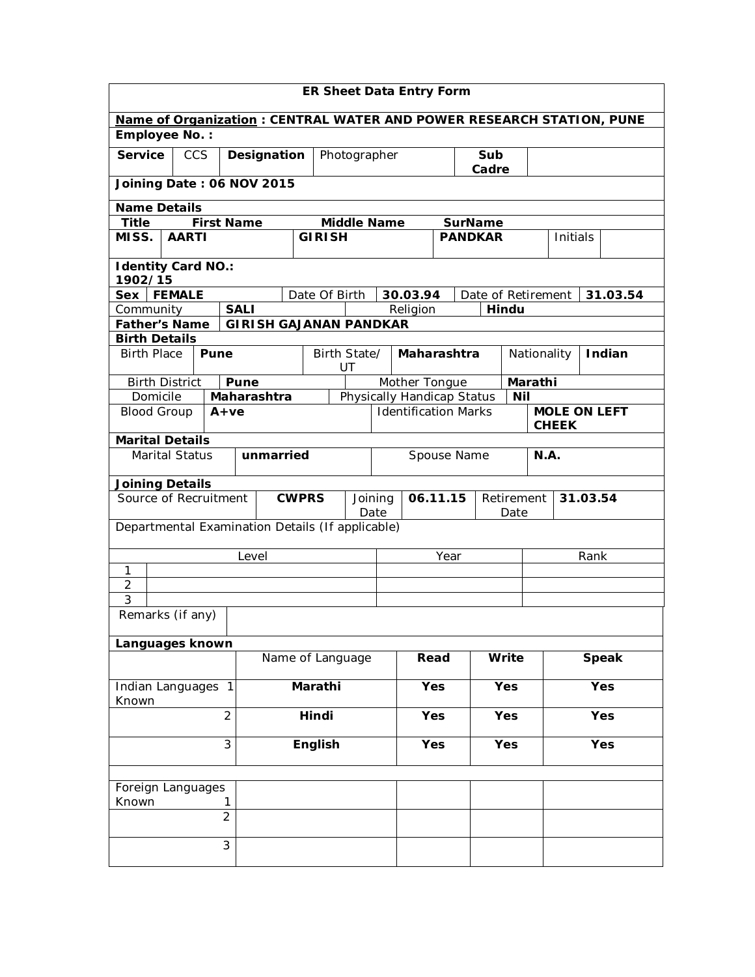| <b>ER Sheet Data Entry Form</b>                                                                    |                                                           |  |                |                               |                    |                    |  |  |                            |                |                |                    |              |             |          |            |          |
|----------------------------------------------------------------------------------------------------|-----------------------------------------------------------|--|----------------|-------------------------------|--------------------|--------------------|--|--|----------------------------|----------------|----------------|--------------------|--------------|-------------|----------|------------|----------|
|                                                                                                    |                                                           |  |                |                               |                    |                    |  |  |                            |                |                |                    |              |             |          |            |          |
| Name of Organization: CENTRAL WATER AND POWER RESEARCH STATION, PUNE<br>Employee No.:              |                                                           |  |                |                               |                    |                    |  |  |                            |                |                |                    |              |             |          |            |          |
| <b>Service</b>                                                                                     | <b>CCS</b><br>Designation                                 |  |                |                               | Photographer       |                    |  |  |                            |                | Sub<br>Cadre   |                    |              |             |          |            |          |
| Joining Date: 06 NOV 2015                                                                          |                                                           |  |                |                               |                    |                    |  |  |                            |                |                |                    |              |             |          |            |          |
| <b>Name Details</b>                                                                                |                                                           |  |                |                               |                    |                    |  |  |                            |                |                |                    |              |             |          |            |          |
| <b>Title</b>                                                                                       | <b>First Name</b>                                         |  |                |                               |                    | <b>Middle Name</b> |  |  |                            | <b>SurName</b> |                |                    |              |             |          |            |          |
| MISS.                                                                                              | <b>AARTI</b>                                              |  |                |                               | <b>GIRISH</b>      |                    |  |  |                            |                | <b>PANDKAR</b> |                    |              |             | Initials |            |          |
| <b>Identity Card NO.:</b><br>1902/15                                                               |                                                           |  |                |                               |                    |                    |  |  |                            |                |                |                    |              |             |          |            |          |
| Sex                                                                                                | <b>FEMALE</b>                                             |  |                |                               | Date Of Birth      |                    |  |  | 30.03.94                   |                |                | Date of Retirement |              |             |          |            | 31.03.54 |
| Community                                                                                          |                                                           |  | <b>SALI</b>    |                               |                    |                    |  |  | Religion                   |                |                |                    | Hindu        |             |          |            |          |
| <b>Father's Name</b>                                                                               |                                                           |  |                | <b>GIRISH GAJANAN PANDKAR</b> |                    |                    |  |  |                            |                |                |                    |              |             |          |            |          |
| <b>Birth Details</b>                                                                               |                                                           |  |                |                               |                    |                    |  |  |                            |                |                |                    |              |             |          |            |          |
|                                                                                                    | <b>Birth Place</b><br>Pune                                |  |                |                               | Birth State/<br>UT |                    |  |  | Maharashtra                |                |                |                    |              | Nationality |          | Indian     |          |
| <b>Birth District</b>                                                                              |                                                           |  | Pune           |                               |                    |                    |  |  | Mother Tongue              |                |                |                    |              |             | Marathi  |            |          |
| Domicile                                                                                           |                                                           |  |                | Maharashtra                   |                    |                    |  |  | Physically Handicap Status |                |                |                    | Nil          |             |          |            |          |
| <b>Identification Marks</b><br><b>MOLE ON LEFT</b><br><b>Blood Group</b><br>$A+ve$<br><b>CHEEK</b> |                                                           |  |                |                               |                    |                    |  |  |                            |                |                |                    |              |             |          |            |          |
| <b>Marital Details</b>                                                                             |                                                           |  |                |                               |                    |                    |  |  |                            |                |                |                    |              |             |          |            |          |
|                                                                                                    | <b>Marital Status</b><br>unmarried<br>N.A.<br>Spouse Name |  |                |                               |                    |                    |  |  |                            |                |                |                    |              |             |          |            |          |
| <b>Joining Details</b>                                                                             |                                                           |  |                |                               |                    |                    |  |  |                            |                |                |                    |              |             |          |            |          |
| Source of Recruitment<br><b>CWPRS</b>                                                              |                                                           |  |                |                               |                    | Joining<br>Date    |  |  |                            | 06.11.15       |                |                    | Date         | Retirement  |          | 31.03.54   |          |
| Departmental Examination Details (If applicable)                                                   |                                                           |  |                |                               |                    |                    |  |  |                            |                |                |                    |              |             |          |            |          |
|                                                                                                    |                                                           |  | Level          |                               |                    |                    |  |  | Year                       |                |                |                    |              |             |          | Rank       |          |
| 1                                                                                                  |                                                           |  |                |                               |                    |                    |  |  |                            |                |                |                    |              |             |          |            |          |
| $\overline{2}$                                                                                     |                                                           |  |                |                               |                    |                    |  |  |                            |                |                |                    |              |             |          |            |          |
| 3<br>Remarks (if any)                                                                              |                                                           |  |                |                               |                    |                    |  |  |                            |                |                |                    |              |             |          |            |          |
| Languages known                                                                                    |                                                           |  |                |                               |                    |                    |  |  |                            |                |                |                    |              |             |          |            |          |
|                                                                                                    |                                                           |  |                |                               | Name of Language   |                    |  |  | Read                       |                | Write          |                    | <b>Speak</b> |             |          |            |          |
| Indian Languages 1                                                                                 |                                                           |  |                |                               | Marathi            |                    |  |  | Yes                        |                | <b>Yes</b>     |                    | Yes          |             |          |            |          |
| Known<br>$\overline{2}$                                                                            |                                                           |  |                |                               | Hindi              |                    |  |  | Yes                        |                | <b>Yes</b>     |                    |              |             |          | <b>Yes</b> |          |
| 3                                                                                                  |                                                           |  |                |                               | English            |                    |  |  | Yes                        |                | <b>Yes</b>     |                    |              | Yes         |          |            |          |
|                                                                                                    |                                                           |  |                |                               |                    |                    |  |  |                            |                |                |                    |              |             |          |            |          |
| Foreign Languages                                                                                  |                                                           |  |                |                               |                    |                    |  |  |                            |                |                |                    |              |             |          |            |          |
| Known<br>1                                                                                         |                                                           |  |                |                               |                    |                    |  |  |                            |                |                |                    |              |             |          |            |          |
|                                                                                                    |                                                           |  | $\overline{2}$ |                               |                    |                    |  |  |                            |                |                |                    |              |             |          |            |          |
|                                                                                                    |                                                           |  | 3              |                               |                    |                    |  |  |                            |                |                |                    |              |             |          |            |          |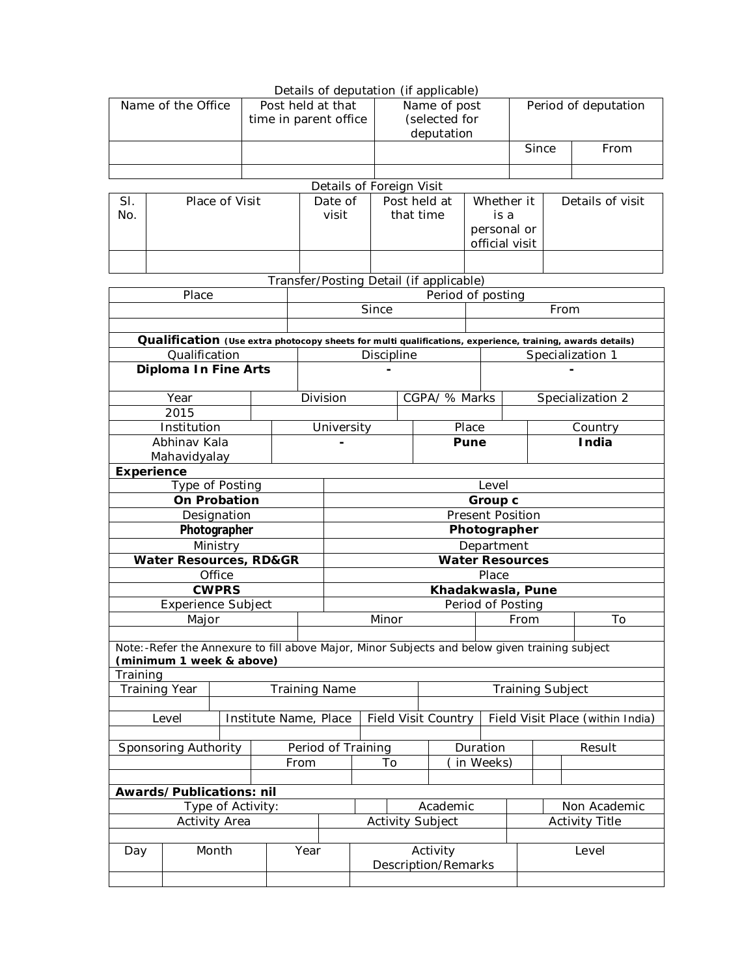|                                         |                                                                                                                           |                   |                       |                   |                    |                            |                                        |                 | Details of deputation (if applicable) |                       |                                  |                         |                                                                                                           |  |  |  |
|-----------------------------------------|---------------------------------------------------------------------------------------------------------------------------|-------------------|-----------------------|-------------------|--------------------|----------------------------|----------------------------------------|-----------------|---------------------------------------|-----------------------|----------------------------------|-------------------------|-----------------------------------------------------------------------------------------------------------|--|--|--|
|                                         | Name of the Office                                                                                                        | Post held at that |                       |                   |                    |                            | Name of post                           |                 |                                       |                       | Period of deputation             |                         |                                                                                                           |  |  |  |
|                                         |                                                                                                                           |                   | time in parent office |                   |                    |                            |                                        |                 | (selected for                         |                       |                                  |                         |                                                                                                           |  |  |  |
|                                         |                                                                                                                           |                   |                       |                   |                    |                            |                                        |                 | deputation                            |                       |                                  |                         |                                                                                                           |  |  |  |
|                                         |                                                                                                                           |                   |                       |                   |                    |                            |                                        |                 |                                       |                       |                                  | Since                   | From                                                                                                      |  |  |  |
|                                         |                                                                                                                           |                   |                       |                   |                    |                            |                                        |                 |                                       |                       |                                  |                         |                                                                                                           |  |  |  |
|                                         |                                                                                                                           |                   |                       |                   |                    |                            |                                        |                 |                                       |                       |                                  |                         |                                                                                                           |  |  |  |
|                                         |                                                                                                                           |                   |                       |                   |                    |                            | Details of Foreign Visit               |                 |                                       |                       |                                  |                         |                                                                                                           |  |  |  |
| SI.                                     |                                                                                                                           | Place of Visit    |                       |                   |                    | Date of                    |                                        | Post held at    |                                       |                       | Whether it                       |                         | Details of visit                                                                                          |  |  |  |
|                                         | No.                                                                                                                       |                   |                       |                   | visit              |                            |                                        |                 | that time                             | is a                  |                                  |                         |                                                                                                           |  |  |  |
|                                         |                                                                                                                           |                   |                       |                   |                    |                            |                                        |                 |                                       |                       | personal or                      |                         |                                                                                                           |  |  |  |
|                                         |                                                                                                                           |                   |                       |                   |                    |                            |                                        |                 |                                       |                       | official visit                   |                         |                                                                                                           |  |  |  |
|                                         |                                                                                                                           |                   |                       |                   |                    |                            |                                        |                 |                                       |                       |                                  |                         |                                                                                                           |  |  |  |
| Transfer/Posting Detail (if applicable) |                                                                                                                           |                   |                       |                   |                    |                            |                                        |                 |                                       |                       |                                  |                         |                                                                                                           |  |  |  |
|                                         | Place                                                                                                                     |                   |                       | Period of posting |                    |                            |                                        |                 |                                       |                       |                                  |                         |                                                                                                           |  |  |  |
|                                         |                                                                                                                           |                   |                       |                   |                    |                            | Since                                  |                 |                                       |                       |                                  | From                    |                                                                                                           |  |  |  |
|                                         |                                                                                                                           |                   |                       |                   |                    |                            |                                        |                 |                                       |                       |                                  |                         |                                                                                                           |  |  |  |
|                                         |                                                                                                                           |                   |                       |                   |                    |                            |                                        |                 |                                       |                       |                                  |                         |                                                                                                           |  |  |  |
|                                         | Qualification                                                                                                             |                   |                       |                   |                    |                            |                                        |                 |                                       |                       |                                  |                         | Qualification (Use extra photocopy sheets for multi qualifications, experience, training, awards details) |  |  |  |
|                                         |                                                                                                                           |                   |                       |                   |                    | Discipline                 |                                        |                 |                                       |                       |                                  |                         | Specialization 1                                                                                          |  |  |  |
|                                         | Diploma In Fine Arts                                                                                                      |                   |                       |                   |                    |                            |                                        |                 |                                       |                       |                                  |                         |                                                                                                           |  |  |  |
|                                         | Year                                                                                                                      |                   |                       |                   | Division           |                            |                                        |                 | CGPA/ % Marks                         |                       | Specialization 2                 |                         |                                                                                                           |  |  |  |
|                                         | 2015                                                                                                                      |                   |                       |                   |                    |                            |                                        |                 |                                       |                       |                                  |                         |                                                                                                           |  |  |  |
|                                         | Institution                                                                                                               |                   |                       |                   |                    | University                 |                                        |                 | Place                                 |                       | Country                          |                         |                                                                                                           |  |  |  |
|                                         | Abhinav Kala                                                                                                              |                   |                       |                   |                    |                            |                                        |                 |                                       | Pune                  |                                  | India                   |                                                                                                           |  |  |  |
|                                         | Mahavidyalay                                                                                                              |                   |                       |                   |                    |                            |                                        |                 |                                       |                       |                                  |                         |                                                                                                           |  |  |  |
| <b>Experience</b>                       |                                                                                                                           |                   |                       |                   |                    |                            |                                        |                 |                                       |                       |                                  |                         |                                                                                                           |  |  |  |
|                                         |                                                                                                                           |                   |                       |                   |                    |                            |                                        |                 |                                       | Level                 |                                  |                         |                                                                                                           |  |  |  |
| Type of Posting<br><b>On Probation</b>  |                                                                                                                           |                   |                       |                   |                    |                            | Group c                                |                 |                                       |                       |                                  |                         |                                                                                                           |  |  |  |
| Designation                             |                                                                                                                           |                   |                       |                   |                    |                            | <b>Present Position</b>                |                 |                                       |                       |                                  |                         |                                                                                                           |  |  |  |
| Photographer                            |                                                                                                                           |                   |                       |                   |                    |                            | Photographer                           |                 |                                       |                       |                                  |                         |                                                                                                           |  |  |  |
|                                         |                                                                                                                           | Ministry          |                       |                   |                    | Department                 |                                        |                 |                                       |                       |                                  |                         |                                                                                                           |  |  |  |
|                                         | <b>Water Resources, RD&amp;GR</b>                                                                                         |                   |                       |                   |                    | <b>Water Resources</b>     |                                        |                 |                                       |                       |                                  |                         |                                                                                                           |  |  |  |
|                                         |                                                                                                                           | Office            |                       |                   |                    |                            |                                        |                 |                                       | Place                 |                                  |                         |                                                                                                           |  |  |  |
|                                         |                                                                                                                           |                   |                       |                   |                    |                            |                                        |                 |                                       |                       |                                  |                         |                                                                                                           |  |  |  |
| <b>CWPRS</b>                            |                                                                                                                           |                   |                       |                   |                    |                            | Khadakwasla, Pune<br>Period of Posting |                 |                                       |                       |                                  |                         |                                                                                                           |  |  |  |
| <b>Experience Subject</b>               |                                                                                                                           |                   |                       |                   |                    | Minor                      |                                        |                 |                                       |                       |                                  |                         | To                                                                                                        |  |  |  |
| Major                                   |                                                                                                                           |                   |                       |                   |                    |                            |                                        |                 |                                       |                       | From                             |                         |                                                                                                           |  |  |  |
|                                         | Note:-Refer the Annexure to fill above Major, Minor Subjects and below given training subject<br>(minimum 1 week & above) |                   |                       |                   |                    |                            |                                        |                 |                                       |                       |                                  |                         |                                                                                                           |  |  |  |
| Training                                |                                                                                                                           |                   |                       |                   |                    |                            |                                        |                 |                                       |                       |                                  |                         |                                                                                                           |  |  |  |
|                                         | Training Year                                                                                                             |                   |                       |                   |                    | <b>Training Name</b>       |                                        |                 |                                       |                       |                                  | <b>Training Subject</b> |                                                                                                           |  |  |  |
|                                         |                                                                                                                           |                   |                       |                   |                    |                            |                                        |                 |                                       |                       |                                  |                         |                                                                                                           |  |  |  |
| Level<br>Institute Name, Place          |                                                                                                                           |                   |                       |                   |                    | <b>Field Visit Country</b> |                                        |                 |                                       |                       | Field Visit Place (within India) |                         |                                                                                                           |  |  |  |
|                                         |                                                                                                                           |                   |                       |                   |                    |                            |                                        |                 |                                       |                       |                                  |                         |                                                                                                           |  |  |  |
| Sponsoring Authority                    |                                                                                                                           |                   |                       |                   | Period of Training |                            |                                        | Duration        |                                       |                       |                                  | Result                  |                                                                                                           |  |  |  |
|                                         |                                                                                                                           |                   |                       |                   | From               |                            |                                        | in Weeks)<br>To |                                       |                       |                                  |                         |                                                                                                           |  |  |  |
|                                         |                                                                                                                           |                   |                       |                   |                    |                            |                                        |                 |                                       |                       |                                  |                         |                                                                                                           |  |  |  |
|                                         | Awards/Publications: nil                                                                                                  |                   |                       |                   |                    |                            |                                        |                 |                                       |                       |                                  |                         | Non Academic                                                                                              |  |  |  |
| Type of Activity:                       |                                                                                                                           |                   |                       |                   |                    | Academic                   |                                        |                 |                                       | <b>Activity Title</b> |                                  |                         |                                                                                                           |  |  |  |
| Activity Area                           |                                                                                                                           |                   |                       |                   |                    | <b>Activity Subject</b>    |                                        |                 |                                       |                       |                                  |                         |                                                                                                           |  |  |  |
| Month<br>Day                            |                                                                                                                           |                   |                       | Year              |                    |                            |                                        | Activity        |                                       |                       | Level                            |                         |                                                                                                           |  |  |  |
|                                         |                                                                                                                           |                   |                       |                   |                    | Description/Remarks        |                                        |                 |                                       |                       |                                  |                         |                                                                                                           |  |  |  |
|                                         |                                                                                                                           |                   |                       |                   |                    |                            |                                        |                 |                                       |                       |                                  |                         |                                                                                                           |  |  |  |